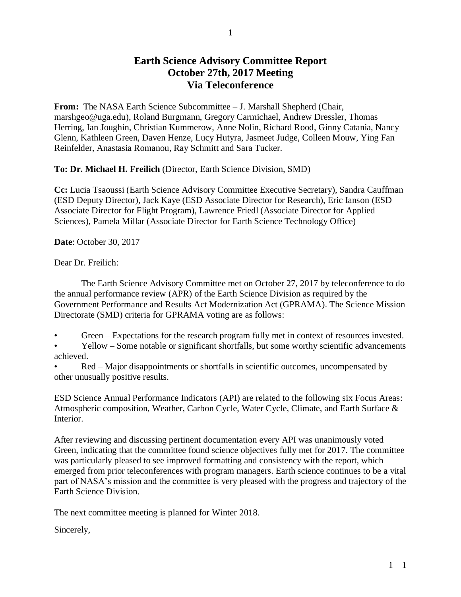## **Earth Science Advisory Committee Report October 27th, 2017 Meeting Via Teleconference**

**From:** The NASA Earth Science Subcommittee – J. Marshall Shepherd (Chair, marshgeo@uga.edu), Roland Burgmann, Gregory Carmichael, Andrew Dressler, Thomas Herring, Ian Joughin, Christian Kummerow, Anne Nolin, Richard Rood, Ginny Catania, Nancy Glenn, Kathleen Green, Daven Henze, Lucy Hutyra, Jasmeet Judge, Colleen Mouw, Ying Fan Reinfelder, Anastasia Romanou, Ray Schmitt and Sara Tucker.

**To: Dr. Michael H. Freilich** (Director, Earth Science Division, SMD)

**Cc:** Lucia Tsaoussi (Earth Science Advisory Committee Executive Secretary), Sandra Cauffman (ESD Deputy Director), Jack Kaye (ESD Associate Director for Research), Eric Ianson (ESD Associate Director for Flight Program), Lawrence Friedl (Associate Director for Applied Sciences), Pamela Millar (Associate Director for Earth Science Technology Office)

**Date**: October 30, 2017

Dear Dr. Freilich:

The Earth Science Advisory Committee met on October 27, 2017 by teleconference to do the annual performance review (APR) of the Earth Science Division as required by the Government Performance and Results Act Modernization Act (GPRAMA). The Science Mission Directorate (SMD) criteria for GPRAMA voting are as follows:

Green – Expectations for the research program fully met in context of resources invested.

• Yellow – Some notable or significant shortfalls, but some worthy scientific advancements achieved.

• Red – Major disappointments or shortfalls in scientific outcomes, uncompensated by other unusually positive results.

ESD Science Annual Performance Indicators (API) are related to the following six Focus Areas: Atmospheric composition, Weather, Carbon Cycle, Water Cycle, Climate, and Earth Surface & Interior.

After reviewing and discussing pertinent documentation every API was unanimously voted Green, indicating that the committee found science objectives fully met for 2017. The committee was particularly pleased to see improved formatting and consistency with the report, which emerged from prior teleconferences with program managers. Earth science continues to be a vital part of NASA's mission and the committee is very pleased with the progress and trajectory of the Earth Science Division.

The next committee meeting is planned for Winter 2018.

Sincerely,